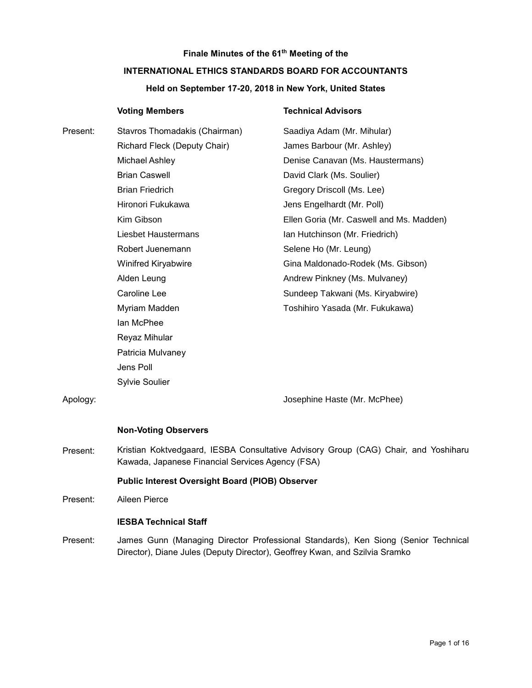# **Finale Minutes of the 61th Meeting of the INTERNATIONAL ETHICS STANDARDS BOARD FOR ACCOUNTANTS**

# **Held on September 17-20, 2018 in New York, United States**

|          | <b>Voting Members</b>                                                                                                                   | <b>Technical Advisors</b>                |
|----------|-----------------------------------------------------------------------------------------------------------------------------------------|------------------------------------------|
| Present: | Stavros Thomadakis (Chairman)                                                                                                           | Saadiya Adam (Mr. Mihular)               |
|          | Richard Fleck (Deputy Chair)                                                                                                            | James Barbour (Mr. Ashley)               |
|          | Michael Ashley                                                                                                                          | Denise Canavan (Ms. Haustermans)         |
|          | <b>Brian Caswell</b>                                                                                                                    | David Clark (Ms. Soulier)                |
|          | <b>Brian Friedrich</b>                                                                                                                  | Gregory Driscoll (Ms. Lee)               |
|          | Hironori Fukukawa                                                                                                                       | Jens Engelhardt (Mr. Poll)               |
|          | Kim Gibson                                                                                                                              | Ellen Goria (Mr. Caswell and Ms. Madden) |
|          | <b>Liesbet Haustermans</b>                                                                                                              | Ian Hutchinson (Mr. Friedrich)           |
|          | Robert Juenemann                                                                                                                        | Selene Ho (Mr. Leung)                    |
|          | <b>Winifred Kiryabwire</b>                                                                                                              | Gina Maldonado-Rodek (Ms. Gibson)        |
|          | Alden Leung                                                                                                                             | Andrew Pinkney (Ms. Mulvaney)            |
|          | Caroline Lee                                                                                                                            | Sundeep Takwani (Ms. Kiryabwire)         |
|          | Myriam Madden                                                                                                                           | Toshihiro Yasada (Mr. Fukukawa)          |
|          | lan McPhee                                                                                                                              |                                          |
|          | Reyaz Mihular                                                                                                                           |                                          |
|          | Patricia Mulvaney                                                                                                                       |                                          |
|          | Jens Poll                                                                                                                               |                                          |
|          | <b>Sylvie Soulier</b>                                                                                                                   |                                          |
| Apology: |                                                                                                                                         | Josephine Haste (Mr. McPhee)             |
|          | <b>Non-Voting Observers</b>                                                                                                             |                                          |
| Present: | Kristian Koktvedgaard, IESBA Consultative Advisory Group (CAG) Chair, and Yoshiharu<br>Kawada, Japanese Financial Services Agency (FSA) |                                          |

#### **Public Interest Oversight Board (PIOB) Observer**

Present: Aileen Pierce

# **IESBA Technical Staff**

Present: James Gunn (Managing Director Professional Standards), Ken Siong (Senior Technical Director), Diane Jules (Deputy Director), Geoffrey Kwan, and Szilvia Sramko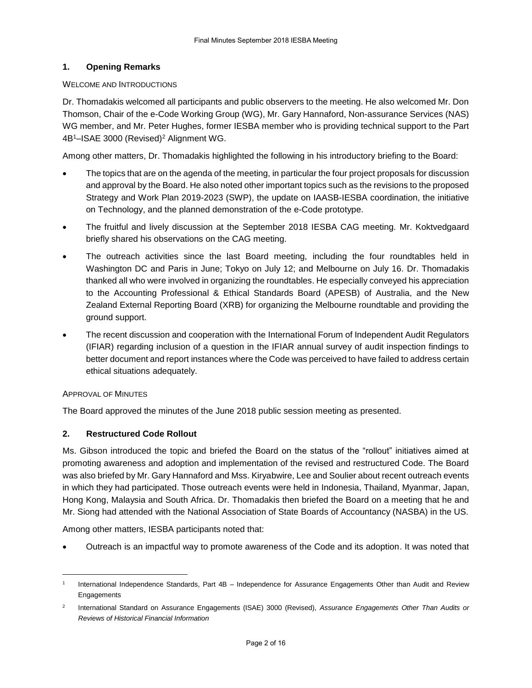# **1. Opening Remarks**

#### WELCOME AND INTRODUCTIONS

Dr. Thomadakis welcomed all participants and public observers to the meeting. He also welcomed Mr. Don Thomson, Chair of the e-Code Working Group (WG), Mr. Gary Hannaford, Non-assurance Services (NAS) WG member, and Mr. Peter Hughes, former IESBA member who is providing technical support to the Part 4B<sup>1</sup>–ISAE 3000 (Revised)<sup>2</sup> Alignment WG.

Among other matters, Dr. Thomadakis highlighted the following in his introductory briefing to the Board:

- The topics that are on the agenda of the meeting, in particular the four project proposals for discussion and approval by the Board. He also noted other important topics such as the revisions to the proposed Strategy and Work Plan 2019-2023 (SWP), the update on IAASB-IESBA coordination, the initiative on Technology, and the planned demonstration of the e-Code prototype.
- The fruitful and lively discussion at the September 2018 IESBA CAG meeting. Mr. Koktvedgaard briefly shared his observations on the CAG meeting.
- The outreach activities since the last Board meeting, including the four roundtables held in Washington DC and Paris in June; Tokyo on July 12; and Melbourne on July 16. Dr. Thomadakis thanked all who were involved in organizing the roundtables. He especially conveyed his appreciation to the Accounting Professional & Ethical Standards Board (APESB) of Australia, and the New Zealand External Reporting Board (XRB) for organizing the Melbourne roundtable and providing the ground support.
- The recent discussion and cooperation with the International Forum of Independent Audit Regulators (IFIAR) regarding inclusion of a question in the IFIAR annual survey of audit inspection findings to better document and report instances where the Code was perceived to have failed to address certain ethical situations adequately.

#### APPROVAL OF MINUTES

1

The Board approved the minutes of the June 2018 public session meeting as presented.

# **2. Restructured Code Rollout**

Ms. Gibson introduced the topic and briefed the Board on the status of the "rollout" initiatives aimed at promoting awareness and adoption and implementation of the revised and restructured Code. The Board was also briefed by Mr. Gary Hannaford and Mss[. Kiryabwire,](http://www.ethicsboard.org/bio/winifred-kiryabwire) Lee and Soulier about recent outreach events in which they had participated. Those outreach events were held in Indonesia, Thailand, Myanmar, Japan, Hong Kong, Malaysia and South Africa. Dr. Thomadakis then briefed the Board on a meeting that he and Mr. Siong had attended with the National Association of State Boards of Accountancy (NASBA) in the US.

Among other matters, IESBA participants noted that:

Outreach is an impactful way to promote awareness of the Code and its adoption. It was noted that

<sup>1</sup> International Independence Standards, Part 4B – Independence for Assurance Engagements Other than Audit and Review Engagements

<sup>2</sup> International Standard on Assurance Engagements (ISAE) 3000 (Revised), *Assurance Engagements Other Than Audits or Reviews of Historical Financial Information*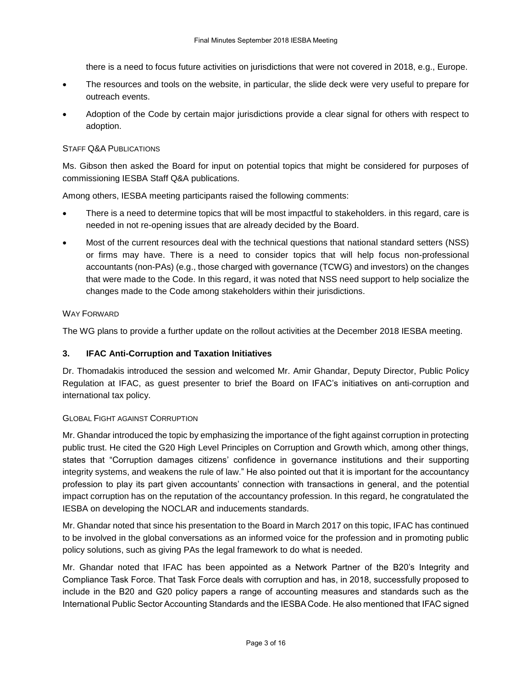there is a need to focus future activities on jurisdictions that were not covered in 2018, e.g., Europe.

- The resources and tools on the website, in particular, the slide deck were very useful to prepare for outreach events.
- Adoption of the Code by certain major jurisdictions provide a clear signal for others with respect to adoption.

# STAFF Q&A PUBLICATIONS

Ms. Gibson then asked the Board for input on potential topics that might be considered for purposes of commissioning IESBA Staff Q&A publications.

Among others, IESBA meeting participants raised the following comments:

- There is a need to determine topics that will be most impactful to stakeholders. in this regard, care is needed in not re-opening issues that are already decided by the Board.
- Most of the current resources deal with the technical questions that national standard setters (NSS) or firms may have. There is a need to consider topics that will help focus non-professional accountants (non-PAs) (e.g., those charged with governance (TCWG) and investors) on the changes that were made to the Code. In this regard, it was noted that NSS need support to help socialize the changes made to the Code among stakeholders within their jurisdictions.

#### WAY FORWARD

The WG plans to provide a further update on the rollout activities at the December 2018 IESBA meeting.

# **3. IFAC Anti-Corruption and Taxation Initiatives**

Dr. Thomadakis introduced the session and welcomed Mr. Amir Ghandar, Deputy Director, Public Policy Regulation at IFAC, as guest presenter to brief the Board on IFAC's initiatives on anti-corruption and international tax policy.

#### GLOBAL FIGHT AGAINST CORRUPTION

Mr. Ghandar introduced the topic by emphasizing the importance of the fight against corruption in protecting public trust. He cited the G20 High Level Principles on Corruption and Growth which, among other things, states that "Corruption damages citizens' confidence in governance institutions and their supporting integrity systems, and weakens the rule of law." He also pointed out that it is important for the accountancy profession to play its part given accountants' connection with transactions in general, and the potential impact corruption has on the reputation of the accountancy profession. In this regard, he congratulated the IESBA on developing the NOCLAR and inducements standards.

Mr. Ghandar noted that since his presentation to the Board in March 2017 on this topic, IFAC has continued to be involved in the global conversations as an informed voice for the profession and in promoting public policy solutions, such as giving PAs the legal framework to do what is needed.

Mr. Ghandar noted that IFAC has been appointed as a Network Partner of the B20's Integrity and Compliance Task Force. That Task Force deals with corruption and has, in 2018, successfully proposed to include in the B20 and G20 policy papers a range of accounting measures and standards such as the International Public Sector Accounting Standards and the IESBA Code. He also mentioned that IFAC signed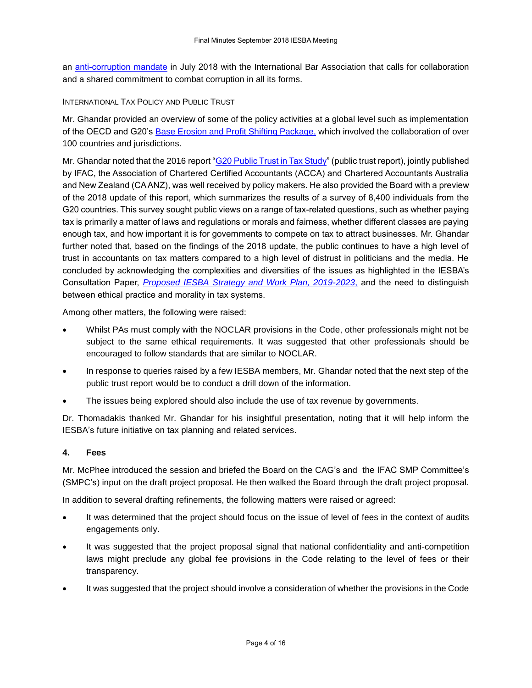an [anti-corruption mandate](https://www.ifac.org/system/files/uploads/PPRAG/IBA-IFAC_Anti-Corruption_Mandate_Final.pdf) in July 2018 with the International Bar Association that calls for collaboration and a shared commitment to combat corruption in all its forms.

#### INTERNATIONAL TAX POLICY AND PUBLIC TRUST

Mr. Ghandar provided an overview of some of the policy activities at a global level such as implementation of the OECD and G20's [Base Erosion and Profit Shifting Package,](http://www.oecd.org/tax/beps/beps-actions.htm) which involved the collaboration of over 100 countries and jurisdictions.

Mr. Ghandar noted that the 2016 report ["G20 Public Trust in Tax Study"](https://www.accaglobal.com/content/dam/ACCA_Global/disc/news/pi-G20-public-trust-tax.pdf) (public trust report), jointly published by IFAC, the Association of Chartered Certified Accountants (ACCA) and Chartered Accountants Australia and New Zealand (CA ANZ), was well received by policy makers. He also provided the Board with a preview of the 2018 update of this report, which summarizes the results of a survey of 8,400 individuals from the G20 countries. This survey sought public views on a range of tax-related questions, such as whether paying tax is primarily a matter of laws and regulations or morals and fairness, whether different classes are paying enough tax, and how important it is for governments to compete on tax to attract businesses. Mr. Ghandar further noted that, based on the findings of the 2018 update, the public continues to have a high level of trust in accountants on tax matters compared to a high level of distrust in politicians and the media. He concluded by acknowledging the complexities and diversities of the issues as highlighted in the IESBA's Consultation Paper, *[Proposed IESBA Strategy and Work Plan, 2019-2023](https://www.ifac.org/system/files/publications/files/IESBA-SWP-2019-2023.pdf)*, and the need to distinguish between ethical practice and morality in tax systems.

Among other matters, the following were raised:

- Whilst PAs must comply with the NOCLAR provisions in the Code, other professionals might not be subject to the same ethical requirements. It was suggested that other professionals should be encouraged to follow standards that are similar to NOCLAR.
- In response to queries raised by a few IESBA members, Mr. Ghandar noted that the next step of the public trust report would be to conduct a drill down of the information.
- The issues being explored should also include the use of tax revenue by governments.

Dr. Thomadakis thanked Mr. Ghandar for his insightful presentation, noting that it will help inform the IESBA's future initiative on tax planning and related services.

#### **4. Fees**

Mr. McPhee introduced the session and briefed the Board on the CAG's and the IFAC SMP Committee's (SMPC's) input on the draft project proposal. He then walked the Board through the draft project proposal.

In addition to several drafting refinements, the following matters were raised or agreed:

- It was determined that the project should focus on the issue of level of fees in the context of audits engagements only.
- It was suggested that the project proposal signal that national confidentiality and anti-competition laws might preclude any global fee provisions in the Code relating to the level of fees or their transparency.
- It was suggested that the project should involve a consideration of whether the provisions in the Code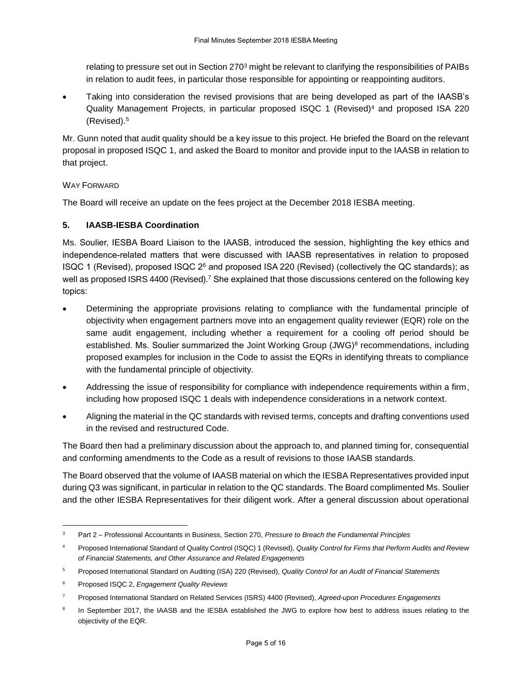relating to pressure set out in Section 270<sup>3</sup> might be relevant to clarifying the responsibilities of PAIBs in relation to audit fees, in particular those responsible for appointing or reappointing auditors.

 Taking into consideration the revised provisions that are being developed as part of the IAASB's Quality Management Projects, in particular proposed ISQC 1 (Revised)<sup>4</sup> and proposed ISA 220 (Revised).<sup>5</sup>

Mr. Gunn noted that audit quality should be a key issue to this project. He briefed the Board on the relevant proposal in proposed ISQC 1, and asked the Board to monitor and provide input to the IAASB in relation to that project.

# WAY FORWARD

The Board will receive an update on the fees project at the December 2018 IESBA meeting.

# **5. IAASB-IESBA Coordination**

Ms. Soulier, IESBA Board Liaison to the IAASB, introduced the session, highlighting the key ethics and independence-related matters that were discussed with IAASB representatives in relation to proposed ISQC 1 (Revised), proposed ISQC 2<sup>6</sup> and proposed ISA 220 (Revised) (collectively the QC standards); as well as proposed ISRS 4400 (Revised).<sup>7</sup> She explained that those discussions centered on the following key topics:

- Determining the appropriate provisions relating to compliance with the fundamental principle of objectivity when engagement partners move into an engagement quality reviewer (EQR) role on the same audit engagement, including whether a requirement for a cooling off period should be established. Ms. Soulier summarized the Joint Working Group (JWG)<sup>8</sup> [recommendations,](http://www.ifac.org/publications-resources/invitation-comment-enhancing-audit-quality-public-interest) including proposed examples for inclusion in the Code to assist the EQRs in identifying threats to compliance with the fundamental principle of objectivity.
- Addressing the issue of responsibility for compliance with independence requirements within a firm, including how proposed ISQC 1 deals with independence considerations in a network context.
- Aligning the material in the QC standards with revised terms, concepts and drafting conventions used in the revised and restructured Code.

The Board then had a preliminary discussion about the approach to, and planned timing for, consequential and conforming amendments to the Code as a result of revisions to those IAASB standards.

The Board observed that the volume of IAASB material on which the IESBA Representatives provided input during Q3 was significant, in particular in relation to the QC standards. The Board complimented Ms. Soulier and the other IESBA Representatives for their diligent work. After a general discussion about operational

-

<sup>3</sup> Part 2 – Professional Accountants in Business, Section 270, *Pressure to Breach the Fundamental Principles*

<sup>4</sup> Proposed International Standard of Quality Control (ISQC) 1 (Revised), *Quality Control for Firms that Perform Audits and Review of Financial Statements, and Other Assurance and Related Engagements*

<sup>5</sup> Proposed International Standard on Auditing (ISA) 220 (Revised), *Quality Control for an Audit of Financial Statements*

<sup>6</sup> Proposed ISQC 2, *Engagement Quality Reviews*

<sup>7</sup> Proposed International Standard on Related Services (ISRS) 4400 (Revised), *Agreed-upon Procedures Engagements*

<sup>8</sup> In September 2017, the IAASB and the IESBA established the JWG to explore how best to address issues relating to the objectivity of the EQR.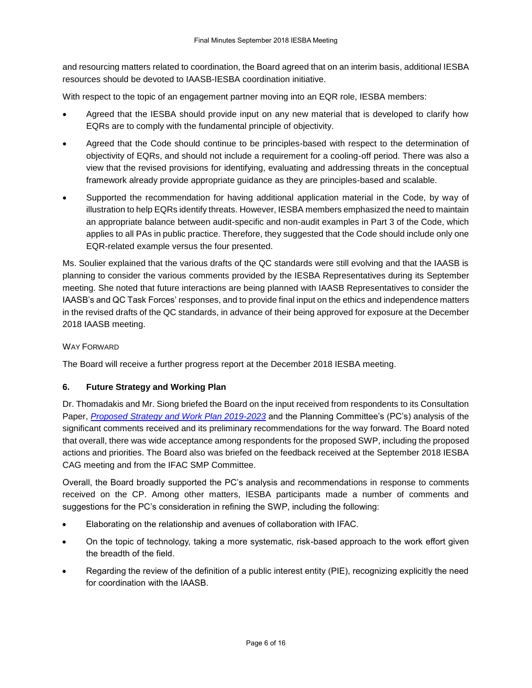and resourcing matters related to coordination, the Board agreed that on an interim basis, additional IESBA resources should be devoted to IAASB-IESBA coordination initiative.

With respect to the topic of an engagement partner moving into an EQR role, IESBA members:

- Agreed that the IESBA should provide input on any new material that is developed to clarify how EQRs are to comply with the fundamental principle of objectivity.
- Agreed that the Code should continue to be principles-based with respect to the determination of objectivity of EQRs, and should not include a requirement for a cooling-off period. There was also a view that the revised provisions for identifying, evaluating and addressing threats in the conceptual framework already provide appropriate guidance as they are principles-based and scalable.
- Supported the recommendation for having additional application material in the Code, by way of illustration to help EQRs identify threats. However, IESBA members emphasized the need to maintain an appropriate balance between audit-specific and non-audit examples in Part 3 of the Code, which applies to all PAs in public practice. Therefore, they suggested that the Code should include only one EQR-related example versus the four presented.

Ms. Soulier explained that the various drafts of the QC standards were still evolving and that the IAASB is planning to consider the various comments provided by the IESBA Representatives during its September meeting. She noted that future interactions are being planned with IAASB Representatives to consider the IAASB's and QC Task Forces' responses, and to provide final input on the ethics and independence matters in the revised drafts of the QC standards, in advance of their being approved for exposure at the December 2018 IAASB meeting.

# WAY FORWARD

The Board will receive a further progress report at the December 2018 IESBA meeting.

# **6. Future Strategy and Working Plan**

Dr. Thomadakis and Mr. Siong briefed the Board on the input received from respondents to its Consultation Paper, *[Proposed Strategy and Work Plan 2019-2023](http://www.ifac.org/publications-resources/consultation-paper-proposed-strategy-and-work-plan-2019-2023)* and the Planning Committee's (PC's) analysis of the significant comments received and its preliminary recommendations for the way forward. The Board noted that overall, there was wide acceptance among respondents for the proposed SWP, including the proposed actions and priorities. The Board also was briefed on the feedback received at the September 2018 IESBA CAG meeting and from the IFAC SMP Committee.

Overall, the Board broadly supported the PC's analysis and recommendations in response to comments received on the CP. Among other matters, IESBA participants made a number of comments and suggestions for the PC's consideration in refining the SWP, including the following:

- Elaborating on the relationship and avenues of collaboration with IFAC.
- On the topic of technology, taking a more systematic, risk-based approach to the work effort given the breadth of the field.
- Regarding the review of the definition of a public interest entity (PIE), recognizing explicitly the need for coordination with the IAASB.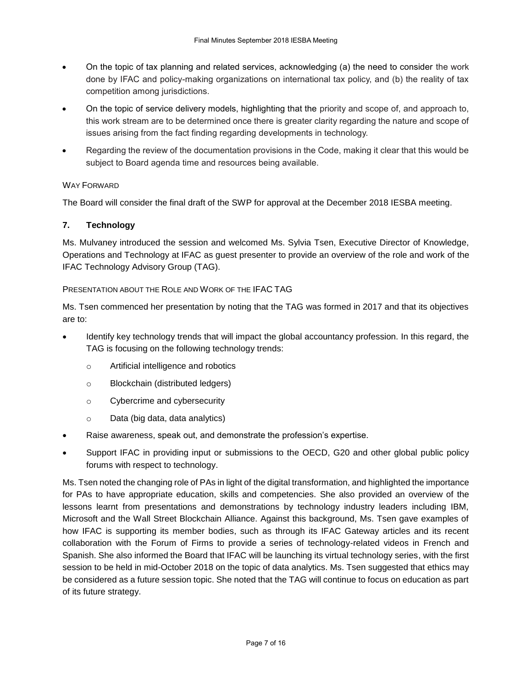- On the topic of tax planning and related services, acknowledging (a) the need to consider the work done by IFAC and policy-making organizations on international tax policy, and (b) the reality of tax competition among jurisdictions.
- On the topic of service delivery models, highlighting that the priority and scope of, and approach to, this work stream are to be determined once there is greater clarity regarding the nature and scope of issues arising from the fact finding regarding developments in technology.
- Regarding the review of the documentation provisions in the Code, making it clear that this would be subject to Board agenda time and resources being available.

# WAY FORWARD

The Board will consider the final draft of the SWP for approval at the December 2018 IESBA meeting.

# **7. Technology**

Ms. Mulvaney introduced the session and welcomed Ms. Sylvia Tsen, Executive Director of Knowledge, Operations and Technology at IFAC as guest presenter to provide an overview of the role and work of the IFAC Technology Advisory Group (TAG).

# PRESENTATION ABOUT THE ROLE AND WORK OF THE IFAC TAG

Ms. Tsen commenced her presentation by noting that the TAG was formed in 2017 and that its objectives are to:

- Identify key technology trends that will impact the global accountancy profession. In this regard, the TAG is focusing on the following technology trends:
	- o Artificial intelligence and robotics
	- o Blockchain (distributed ledgers)
	- o Cybercrime and cybersecurity
	- o Data (big data, data analytics)
- Raise awareness, speak out, and demonstrate the profession's expertise.
- Support IFAC in providing input or submissions to the OECD, G20 and other global public policy forums with respect to technology.

Ms. Tsen noted the changing role of PAs in light of the digital transformation, and highlighted the importance for PAs to have appropriate education, skills and competencies. She also provided an overview of the lessons learnt from presentations and demonstrations by technology industry leaders including IBM, Microsoft and the Wall Street Blockchain Alliance. Against this background, Ms. Tsen gave examples of how IFAC is supporting its member bodies, such as through its IFAC Gateway articles and its recent collaboration with the Forum of Firms to provide a series of technology-related videos in French and Spanish. She also informed the Board that IFAC will be launching its virtual technology series, with the first session to be held in mid-October 2018 on the topic of data analytics. Ms. Tsen suggested that ethics may be considered as a future session topic. She noted that the TAG will continue to focus on education as part of its future strategy.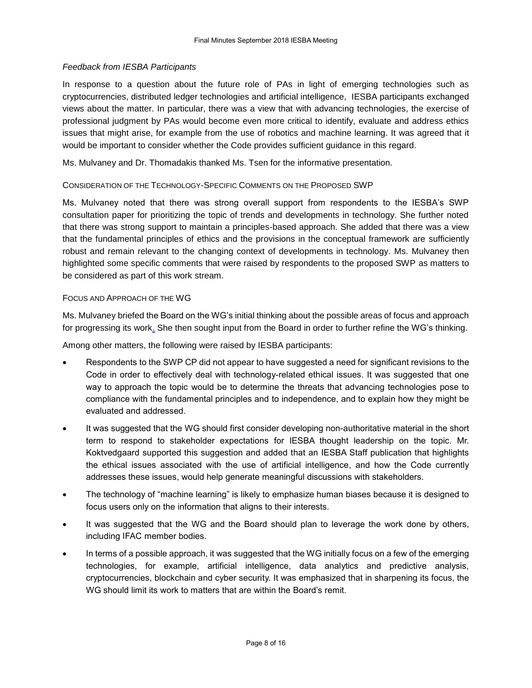#### *Feedback from IESBA Participants*

In response to a question about the future role of PAs in light of emerging technologies such as cryptocurrencies, distributed ledger technologies and artificial intelligence, IESBA participants exchanged views about the matter. In particular, there was a view that with advancing technologies, the exercise of professional judgment by PAs would become even more critical to identify, evaluate and address ethics issues that might arise, for example from the use of robotics and machine learning. It was agreed that it would be important to consider whether the Code provides sufficient guidance in this regard.

Ms. Mulvaney and Dr. Thomadakis thanked Ms. Tsen for the informative presentation.

#### CONSIDERATION OF THE TECHNOLOGY-SPECIFIC COMMENTS ON THE PROPOSED SWP

Ms. Mulvaney noted that there was strong overall support from respondents to the IESBA's SWP consultation paper for prioritizing the topic of trends and developments in technology. She further noted that there was strong support to maintain a principles-based approach. She added that there was a view that the fundamental principles of ethics and the provisions in the conceptual framework are sufficiently robust and remain relevant to the changing context of developments in technology. Ms. Mulvaney then highlighted some specific comments that were raised by respondents to the proposed SWP as matters to be considered as part of this work stream.

#### FOCUS AND APPROACH OF THE WG

Ms. Mulvaney briefed the Board on the WG's initial thinking about the possible areas of focus and approach for progressing its work. She then sought input from the Board in order to further refine the WG's thinking.

Among other matters, the following were raised by IESBA participants:

- Respondents to the SWP CP did not appear to have suggested a need for significant revisions to the Code in order to effectively deal with technology-related ethical issues. It was suggested that one way to approach the topic would be to determine the threats that advancing technologies pose to compliance with the fundamental principles and to independence, and to explain how they might be evaluated and addressed.
- It was suggested that the WG should first consider developing non-authoritative material in the short term to respond to stakeholder expectations for IESBA thought leadership on the topic. Mr. Koktvedgaard supported this suggestion and added that an IESBA Staff publication that highlights the ethical issues associated with the use of artificial intelligence, and how the Code currently addresses these issues, would help generate meaningful discussions with stakeholders.
- The technology of "machine learning" is likely to emphasize human biases because it is designed to focus users only on the information that aligns to their interests.
- It was suggested that the WG and the Board should plan to leverage the work done by others, including IFAC member bodies.
- In terms of a possible approach, it was suggested that the WG initially focus on a few of the emerging technologies, for example, artificial intelligence, data analytics and predictive analysis, cryptocurrencies, blockchain and cyber security. It was emphasized that in sharpening its focus, the WG should limit its work to matters that are within the Board's remit.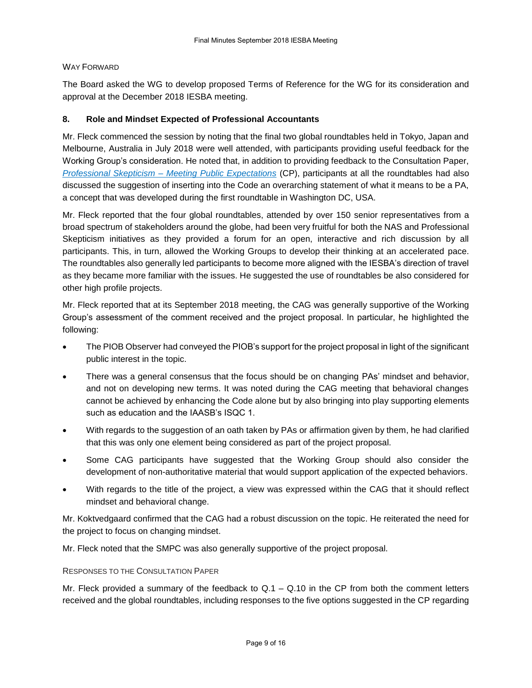#### WAY FORWARD

The Board asked the WG to develop proposed Terms of Reference for the WG for its consideration and approval at the December 2018 IESBA meeting.

# **8. Role and Mindset Expected of Professional Accountants**

Mr. Fleck commenced the session by noting that the final two global roundtables held in Tokyo, Japan and Melbourne, Australia in July 2018 were well attended, with participants providing useful feedback for the Working Group's consideration. He noted that, in addition to providing feedback to the Consultation Paper, *Professional Skepticism – [Meeting Public Expectations](http://www.ifac.org/publications-resources/global-ethics-board-consults-professional-skepticism)* (CP), participants at all the roundtables had also discussed the suggestion of inserting into the Code an overarching statement of what it means to be a PA, a concept that was developed during the first roundtable in Washington DC, USA.

Mr. Fleck reported that the four global roundtables, attended by over 150 senior representatives from a broad spectrum of stakeholders around the globe, had been very fruitful for both the NAS and Professional Skepticism initiatives as they provided a forum for an open, interactive and rich discussion by all participants. This, in turn, allowed the Working Groups to develop their thinking at an accelerated pace. The roundtables also generally led participants to become more aligned with the IESBA's direction of travel as they became more familiar with the issues. He suggested the use of roundtables be also considered for other high profile projects.

Mr. Fleck reported that at its September 2018 meeting, the CAG was generally supportive of the Working Group's assessment of the comment received and the project proposal. In particular, he highlighted the following:

- The PIOB Observer had conveyed the PIOB's support for the project proposal in light of the significant public interest in the topic.
- There was a general consensus that the focus should be on changing PAs' mindset and behavior, and not on developing new terms. It was noted during the CAG meeting that behavioral changes cannot be achieved by enhancing the Code alone but by also bringing into play supporting elements such as education and the IAASB's ISQC 1.
- With regards to the suggestion of an oath taken by PAs or affirmation given by them, he had clarified that this was only one element being considered as part of the project proposal.
- Some CAG participants have suggested that the Working Group should also consider the development of non-authoritative material that would support application of the expected behaviors.
- With regards to the title of the project, a view was expressed within the CAG that it should reflect mindset and behavioral change.

Mr. Koktvedgaard confirmed that the CAG had a robust discussion on the topic. He reiterated the need for the project to focus on changing mindset.

Mr. Fleck noted that the SMPC was also generally supportive of the project proposal.

#### RESPONSES TO THE CONSULTATION PAPER

Mr. Fleck provided a summary of the feedback to Q.1 – Q.10 in the CP from both the comment letters received and the global roundtables, including responses to the five options suggested in the CP regarding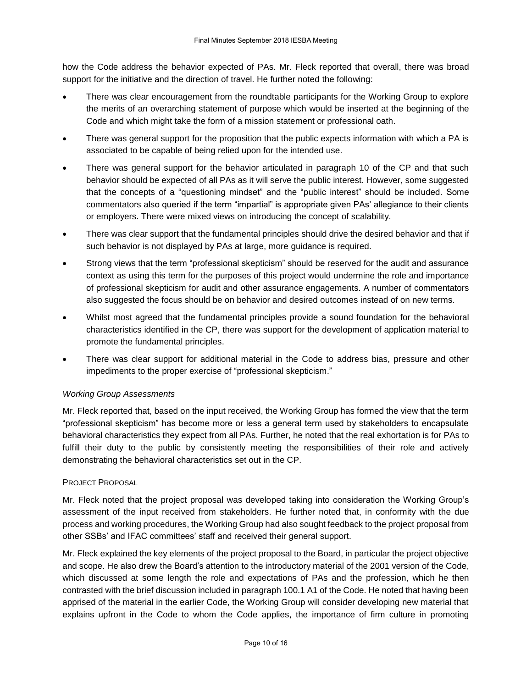how the Code address the behavior expected of PAs. Mr. Fleck reported that overall, there was broad support for the initiative and the direction of travel. He further noted the following:

- There was clear encouragement from the roundtable participants for the Working Group to explore the merits of an overarching statement of purpose which would be inserted at the beginning of the Code and which might take the form of a mission statement or professional oath.
- There was general support for the proposition that the public expects information with which a PA is associated to be capable of being relied upon for the intended use.
- There was general support for the behavior articulated in paragraph 10 of the CP and that such behavior should be expected of all PAs as it will serve the public interest. However, some suggested that the concepts of a "questioning mindset" and the "public interest" should be included. Some commentators also queried if the term "impartial" is appropriate given PAs' allegiance to their clients or employers. There were mixed views on introducing the concept of scalability.
- There was clear support that the fundamental principles should drive the desired behavior and that if such behavior is not displayed by PAs at large, more guidance is required.
- Strong views that the term "professional skepticism" should be reserved for the audit and assurance context as using this term for the purposes of this project would undermine the role and importance of professional skepticism for audit and other assurance engagements. A number of commentators also suggested the focus should be on behavior and desired outcomes instead of on new terms.
- Whilst most agreed that the fundamental principles provide a sound foundation for the behavioral characteristics identified in the CP, there was support for the development of application material to promote the fundamental principles.
- There was clear support for additional material in the Code to address bias, pressure and other impediments to the proper exercise of "professional skepticism."

# *Working Group Assessments*

Mr. Fleck reported that, based on the input received, the Working Group has formed the view that the term "professional skepticism" has become more or less a general term used by stakeholders to encapsulate behavioral characteristics they expect from all PAs. Further, he noted that the real exhortation is for PAs to fulfill their duty to the public by consistently meeting the responsibilities of their role and actively demonstrating the behavioral characteristics set out in the CP.

# PROJECT PROPOSAL

Mr. Fleck noted that the project proposal was developed taking into consideration the Working Group's assessment of the input received from stakeholders. He further noted that, in conformity with the due process and working procedures, the Working Group had also sought feedback to the project proposal from other SSBs' and IFAC committees' staff and received their general support.

Mr. Fleck explained the key elements of the project proposal to the Board, in particular the project objective and scope. He also drew the Board's attention to the introductory material of the 2001 version of the Code, which discussed at some length the role and expectations of PAs and the profession, which he then contrasted with the brief discussion included in paragraph 100.1 A1 of the Code. He noted that having been apprised of the material in the earlier Code, the Working Group will consider developing new material that explains upfront in the Code to whom the Code applies, the importance of firm culture in promoting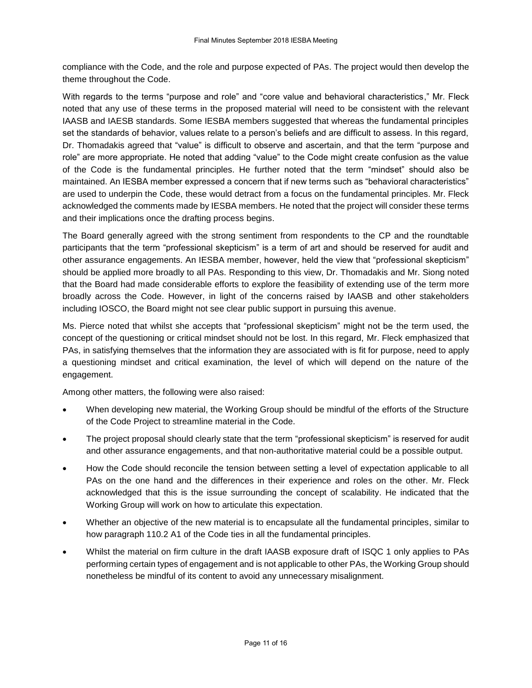compliance with the Code, and the role and purpose expected of PAs. The project would then develop the theme throughout the Code.

With regards to the terms "purpose and role" and "core value and behavioral characteristics," Mr. Fleck noted that any use of these terms in the proposed material will need to be consistent with the relevant IAASB and IAESB standards. Some IESBA members suggested that whereas the fundamental principles set the standards of behavior, values relate to a person's beliefs and are difficult to assess. In this regard, Dr. Thomadakis agreed that "value" is difficult to observe and ascertain, and that the term "purpose and role" are more appropriate. He noted that adding "value" to the Code might create confusion as the value of the Code is the fundamental principles. He further noted that the term "mindset" should also be maintained. An IESBA member expressed a concern that if new terms such as "behavioral characteristics" are used to underpin the Code, these would detract from a focus on the fundamental principles. Mr. Fleck acknowledged the comments made by IESBA members. He noted that the project will consider these terms and their implications once the drafting process begins.

The Board generally agreed with the strong sentiment from respondents to the CP and the roundtable participants that the term "professional skepticism" is a term of art and should be reserved for audit and other assurance engagements. An IESBA member, however, held the view that "professional skepticism" should be applied more broadly to all PAs. Responding to this view, Dr. Thomadakis and Mr. Siong noted that the Board had made considerable efforts to explore the feasibility of extending use of the term more broadly across the Code. However, in light of the concerns raised by IAASB and other stakeholders including IOSCO, the Board might not see clear public support in pursuing this avenue.

Ms. Pierce noted that whilst she accepts that "professional skepticism" might not be the term used, the concept of the questioning or critical mindset should not be lost. In this regard, Mr. Fleck emphasized that PAs, in satisfying themselves that the information they are associated with is fit for purpose, need to apply a questioning mindset and critical examination, the level of which will depend on the nature of the engagement.

Among other matters, the following were also raised:

- When developing new material, the Working Group should be mindful of the efforts of the Structure of the Code Project to streamline material in the Code.
- The project proposal should clearly state that the term "professional skepticism" is reserved for audit and other assurance engagements, and that non-authoritative material could be a possible output.
- How the Code should reconcile the tension between setting a level of expectation applicable to all PAs on the one hand and the differences in their experience and roles on the other. Mr. Fleck acknowledged that this is the issue surrounding the concept of scalability. He indicated that the Working Group will work on how to articulate this expectation.
- Whether an objective of the new material is to encapsulate all the fundamental principles, similar to how paragraph 110.2 A1 of the Code ties in all the fundamental principles.
- Whilst the material on firm culture in the draft IAASB exposure draft of ISQC 1 only applies to PAs performing certain types of engagement and is not applicable to other PAs, the Working Group should nonetheless be mindful of its content to avoid any unnecessary misalignment.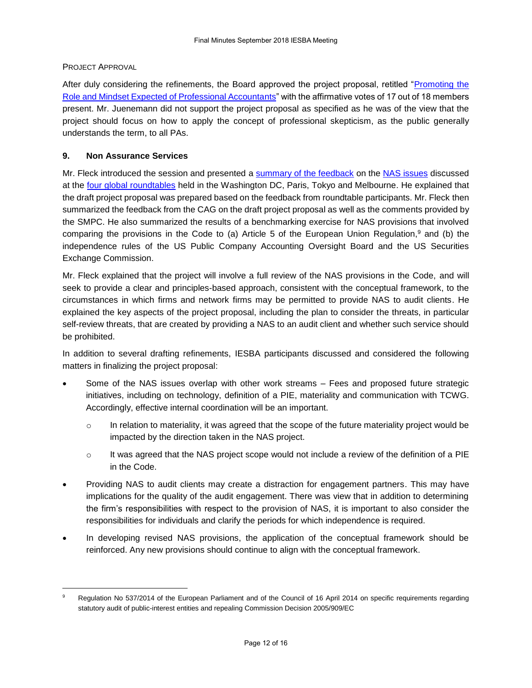#### PROJECT APPROVAL

-

After duly considering the refinements, the Board approved the project proposal, retitled ["Promoting the](https://www.ethicsboard.org/system/files/meetings/files/Agenda-Item-7-Role-and-Mindset-Expected-of-PAs-Project-Proposal-Approved_0.pdf)  [Role and Mindset Expected of Professional Accountants"](https://www.ethicsboard.org/system/files/meetings/files/Agenda-Item-7-Role-and-Mindset-Expected-of-PAs-Project-Proposal-Approved_0.pdf) with the affirmative votes of 17 out of 18 members present. Mr. Juenemann did not support the project proposal as specified as he was of the view that the project should focus on how to apply the concept of professional skepticism, as the public generally understands the term, to all PAs.

# **9. Non Assurance Services**

Mr. Fleck introduced the session and presented a [summary of the feedback](http://www.ethicsboard.org/system/files/meetings/files/Agenda-Item-9A-NAS-Summary-of-Significant-Matters-from-RT-WG-Assessments-and-Proposals.pdf) on the [NAS issues](https://www.ifac.org/publications-resources/non-assurance-services) discussed at the [four global roundtables](https://www.ethicsboard.org/roundtables-2018) held in the Washington DC, Paris, Tokyo and Melbourne. He explained that the draft project proposal was prepared based on the feedback from roundtable participants. Mr. Fleck then summarized the feedback from the CAG on the draft project proposal as well as the comments provided by the SMPC. He also summarized the results of a benchmarking exercise for NAS provisions that involved comparing the provisions in the Code to (a) Article 5 of the European Union Regulation,<sup>9</sup> and (b) the independence rules of the US Public Company Accounting Oversight Board and the US Securities Exchange Commission.

Mr. Fleck explained that the project will involve a full review of the NAS provisions in the Code, and will seek to provide a clear and principles-based approach, consistent with the conceptual framework, to the circumstances in which firms and network firms may be permitted to provide NAS to audit clients. He explained the key aspects of the project proposal, including the plan to consider the threats, in particular self-review threats, that are created by providing a NAS to an audit client and whether such service should be prohibited.

In addition to several drafting refinements, IESBA participants discussed and considered the following matters in finalizing the project proposal:

- Some of the NAS issues overlap with other work streams Fees and proposed future strategic initiatives, including on technology, definition of a PIE, materiality and communication with TCWG. Accordingly, effective internal coordination will be an important.
	- $\circ$  In relation to materiality, it was agreed that the scope of the future materiality project would be impacted by the direction taken in the NAS project.
	- $\circ$  It was agreed that the NAS project scope would not include a review of the definition of a PIE in the Code.
- Providing NAS to audit clients may create a distraction for engagement partners. This may have implications for the quality of the audit engagement. There was view that in addition to determining the firm's responsibilities with respect to the provision of NAS, it is important to also consider the responsibilities for individuals and clarify the periods for which independence is required.
- In developing revised NAS provisions, the application of the conceptual framework should be reinforced. Any new provisions should continue to align with the conceptual framework.

Regulation No 537/2014 of the European Parliament and of the Council of 16 April 2014 on specific requirements regarding statutory audit of public-interest entities and repealing Commission Decision 2005/909/EC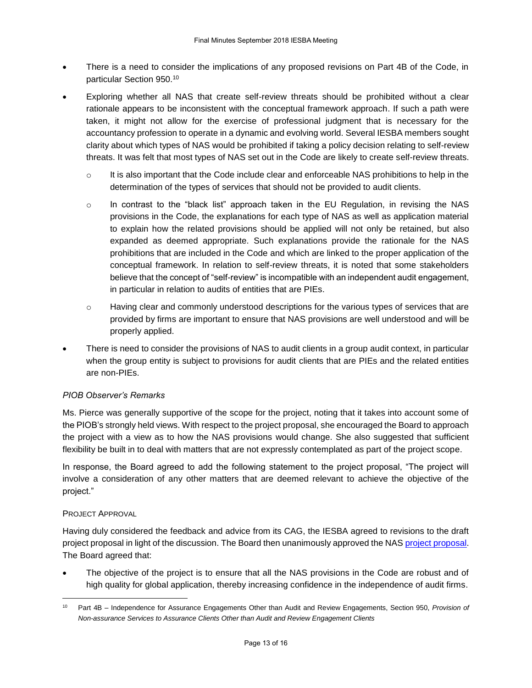- There is a need to consider the implications of any proposed revisions on Part 4B of the Code, in particular Section 950. 10
- Exploring whether all NAS that create self-review threats should be prohibited without a clear rationale appears to be inconsistent with the conceptual framework approach. If such a path were taken, it might not allow for the exercise of professional judgment that is necessary for the accountancy profession to operate in a dynamic and evolving world. Several IESBA members sought clarity about which types of NAS would be prohibited if taking a policy decision relating to self-review threats. It was felt that most types of NAS set out in the Code are likely to create self-review threats.
	- $\circ$  It is also important that the Code include clear and enforceable NAS prohibitions to help in the determination of the types of services that should not be provided to audit clients.
	- $\circ$  In contrast to the "black list" approach taken in the EU Regulation, in revising the NAS provisions in the Code, the explanations for each type of NAS as well as application material to explain how the related provisions should be applied will not only be retained, but also expanded as deemed appropriate. Such explanations provide the rationale for the NAS prohibitions that are included in the Code and which are linked to the proper application of the conceptual framework. In relation to self-review threats, it is noted that some stakeholders believe that the concept of "self-review" is incompatible with an independent audit engagement, in particular in relation to audits of entities that are PIEs.
	- $\circ$  Having clear and commonly understood descriptions for the various types of services that are provided by firms are important to ensure that NAS provisions are well understood and will be properly applied.
- There is need to consider the provisions of NAS to audit clients in a group audit context, in particular when the group entity is subject to provisions for audit clients that are PIEs and the related entities are non-PIEs.

# *PIOB Observer's Remarks*

Ms. Pierce was generally supportive of the scope for the project, noting that it takes into account some of the PIOB's strongly held views. With respect to the project proposal, she encouraged the Board to approach the project with a view as to how the NAS provisions would change. She also suggested that sufficient flexibility be built in to deal with matters that are not expressly contemplated as part of the project scope.

In response, the Board agreed to add the following statement to the project proposal, "The project will involve a consideration of any other matters that are deemed relevant to achieve the objective of the project."

#### PROJECT APPROVAL

1

Having duly considered the feedback and advice from its CAG, the IESBA agreed to revisions to the draft project proposal in light of the discussion. The Board then unanimously approved the NA[S project proposal.](http://www.ethicsboard.org/system/files/meetings/files/Agenda-Item-9-NAS-Project-Proposal-Approved_1.pdf) The Board agreed that:

 The objective of the project is to ensure that all the NAS provisions in the Code are robust and of high quality for global application, thereby increasing confidence in the independence of audit firms.

<sup>10</sup> Part 4B – Independence for Assurance Engagements Other than Audit and Review Engagements, Section 950, *Provision of Non-assurance Services to Assurance Clients Other than Audit and Review Engagement Clients*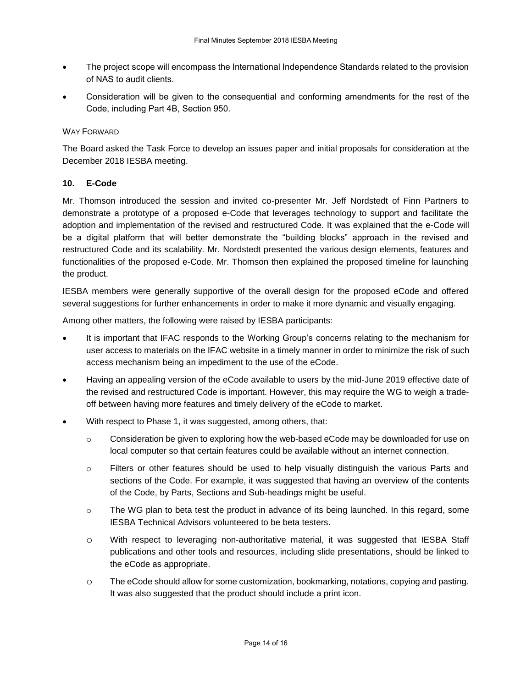- The project scope will encompass the International Independence Standards related to the provision of NAS to audit clients.
- Consideration will be given to the consequential and conforming amendments for the rest of the Code, including Part 4B, Section 950.

# WAY FORWARD

The Board asked the Task Force to develop an issues paper and initial proposals for consideration at the December 2018 IESBA meeting.

#### **10. E-Code**

Mr. Thomson introduced the session and invited co-presenter Mr. Jeff Nordstedt of Finn Partners to demonstrate a prototype of a proposed e-Code that leverages technology to support and facilitate the adoption and implementation of the revised and restructured Code. It was explained that the e-Code will be a digital platform that will better demonstrate the "building blocks" approach in the revised and restructured Code and its scalability. Mr. Nordstedt presented the various design elements, features and functionalities of the proposed e-Code. Mr. Thomson then explained the proposed timeline for launching the product.

IESBA members were generally supportive of the overall design for the proposed eCode and offered several suggestions for further enhancements in order to make it more dynamic and visually engaging.

Among other matters, the following were raised by IESBA participants:

- It is important that IFAC responds to the Working Group's concerns relating to the mechanism for user access to materials on the IFAC website in a timely manner in order to minimize the risk of such access mechanism being an impediment to the use of the eCode.
- Having an appealing version of the eCode available to users by the mid-June 2019 effective date of the revised and restructured Code is important. However, this may require the WG to weigh a tradeoff between having more features and timely delivery of the eCode to market.
- With respect to Phase 1, it was suggested, among others, that:
	- $\circ$  Consideration be given to exploring how the web-based eCode may be downloaded for use on local computer so that certain features could be available without an internet connection.
	- o Filters or other features should be used to help visually distinguish the various Parts and sections of the Code. For example, it was suggested that having an overview of the contents of the Code, by Parts, Sections and Sub-headings might be useful.
	- $\circ$  The WG plan to beta test the product in advance of its being launched. In this regard, some IESBA Technical Advisors volunteered to be beta testers.
	- o With respect to leveraging non-authoritative material, it was suggested that IESBA Staff publications and other tools and resources, including slide presentations, should be linked to the eCode as appropriate.
	- o The eCode should allow for some customization, bookmarking, notations, copying and pasting. It was also suggested that the product should include a print icon.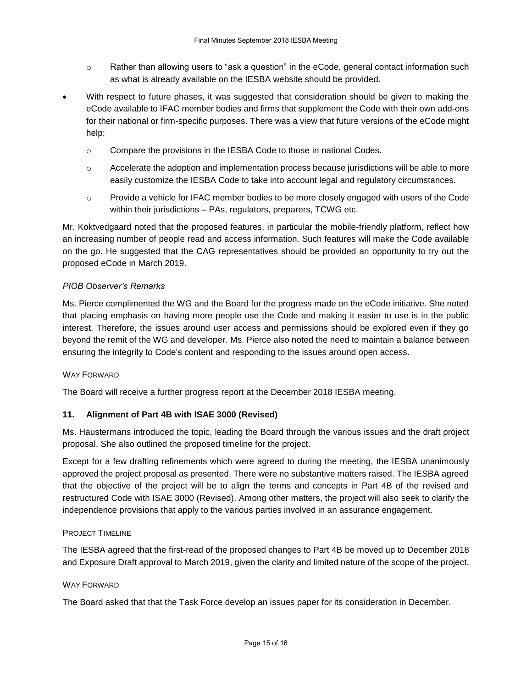- o Rather than allowing users to "ask a question" in the eCode, general contact information such as what is already available on the IESBA website should be provided.
- With respect to future phases, it was suggested that consideration should be given to making the eCode available to IFAC member bodies and firms that supplement the Code with their own add-ons for their national or firm-specific purposes. There was a view that future versions of the eCode might help:
	- $\circ$  Compare the provisions in the IESBA Code to those in national Codes.
	- $\circ$  Accelerate the adoption and implementation process because jurisdictions will be able to more easily customize the IESBA Code to take into account legal and regulatory circumstances.
	- o Provide a vehicle for IFAC member bodies to be more closely engaged with users of the Code within their jurisdictions – PAs, regulators, preparers, TCWG etc.

Mr. Koktvedgaard noted that the proposed features, in particular the mobile-friendly platform, reflect how an increasing number of people read and access information. Such features will make the Code available on the go. He suggested that the CAG representatives should be provided an opportunity to try out the proposed eCode in March 2019.

#### *PIOB Observer's Remarks*

Ms. Pierce complimented the WG and the Board for the progress made on the eCode initiative. She noted that placing emphasis on having more people use the Code and making it easier to use is in the public interest. Therefore, the issues around user access and permissions should be explored even if they go beyond the remit of the WG and developer. Ms. Pierce also noted the need to maintain a balance between ensuring the integrity to Code's content and responding to the issues around open access.

#### WAY FORWARD

The Board will receive a further progress report at the December 2018 IESBA meeting.

# **11. Alignment of Part 4B with ISAE 3000 (Revised)**

Ms. Haustermans introduced the topic, leading the Board through the various issues and the draft project proposal. She also outlined the proposed timeline for the project.

Except for a few drafting refinements which were agreed to during the meeting, the IESBA unanimously approved the project proposal as presented. There were no substantive matters raised. The IESBA agreed that the objective of the project will be to align the terms and concepts in Part 4B of the revised and restructured Code with ISAE 3000 (Revised). Among other matters, the project will also seek to clarify the independence provisions that apply to the various parties involved in an assurance engagement.

#### PROJECT TIMELINE

The IESBA agreed that the first-read of the proposed changes to Part 4B be moved up to December 2018 and Exposure Draft approval to March 2019, given the clarity and limited nature of the scope of the project.

#### WAY FORWARD

The Board asked that that the Task Force develop an issues paper for its consideration in December.